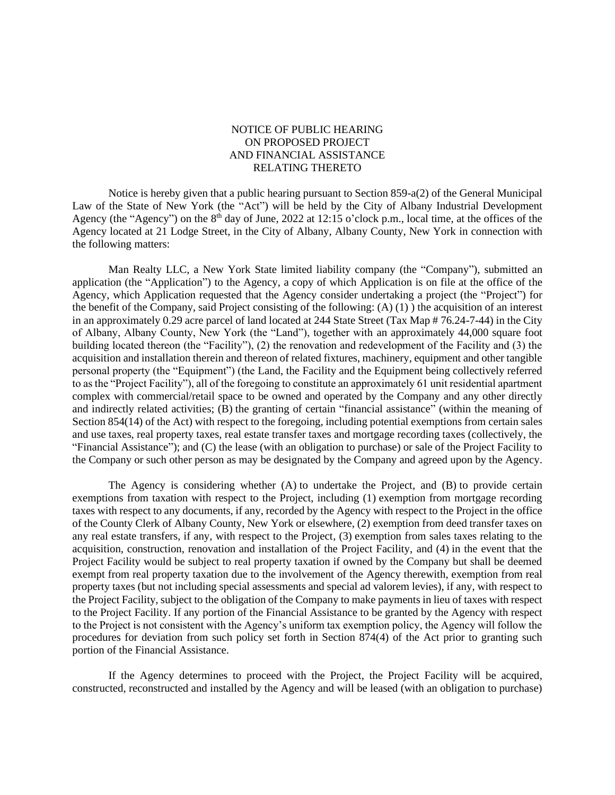## NOTICE OF PUBLIC HEARING ON PROPOSED PROJECT AND FINANCIAL ASSISTANCE RELATING THERETO

Notice is hereby given that a public hearing pursuant to Section 859-a(2) of the General Municipal Law of the State of New York (the "Act") will be held by the City of Albany Industrial Development Agency (the "Agency") on the  $8<sup>th</sup>$  day of June, 2022 at 12:15 o'clock p.m., local time, at the offices of the Agency located at 21 Lodge Street, in the City of Albany, Albany County, New York in connection with the following matters:

Man Realty LLC, a New York State limited liability company (the "Company"), submitted an application (the "Application") to the Agency, a copy of which Application is on file at the office of the Agency, which Application requested that the Agency consider undertaking a project (the "Project") for the benefit of the Company, said Project consisting of the following: (A) (1) ) the acquisition of an interest in an approximately 0.29 acre parcel of land located at 244 State Street (Tax Map # 76.24-7-44) in the City of Albany, Albany County, New York (the "Land"), together with an approximately 44,000 square foot building located thereon (the "Facility"), (2) the renovation and redevelopment of the Facility and (3) the acquisition and installation therein and thereon of related fixtures, machinery, equipment and other tangible personal property (the "Equipment") (the Land, the Facility and the Equipment being collectively referred to as the "Project Facility"), all of the foregoing to constitute an approximately 61 unit residential apartment complex with commercial/retail space to be owned and operated by the Company and any other directly and indirectly related activities; (B) the granting of certain "financial assistance" (within the meaning of Section 854(14) of the Act) with respect to the foregoing, including potential exemptions from certain sales and use taxes, real property taxes, real estate transfer taxes and mortgage recording taxes (collectively, the "Financial Assistance"); and (C) the lease (with an obligation to purchase) or sale of the Project Facility to the Company or such other person as may be designated by the Company and agreed upon by the Agency.

The Agency is considering whether (A) to undertake the Project, and (B) to provide certain exemptions from taxation with respect to the Project, including (1) exemption from mortgage recording taxes with respect to any documents, if any, recorded by the Agency with respect to the Project in the office of the County Clerk of Albany County, New York or elsewhere, (2) exemption from deed transfer taxes on any real estate transfers, if any, with respect to the Project, (3) exemption from sales taxes relating to the acquisition, construction, renovation and installation of the Project Facility, and (4) in the event that the Project Facility would be subject to real property taxation if owned by the Company but shall be deemed exempt from real property taxation due to the involvement of the Agency therewith, exemption from real property taxes (but not including special assessments and special ad valorem levies), if any, with respect to the Project Facility, subject to the obligation of the Company to make payments in lieu of taxes with respect to the Project Facility. If any portion of the Financial Assistance to be granted by the Agency with respect to the Project is not consistent with the Agency's uniform tax exemption policy, the Agency will follow the procedures for deviation from such policy set forth in Section 874(4) of the Act prior to granting such portion of the Financial Assistance.

If the Agency determines to proceed with the Project, the Project Facility will be acquired, constructed, reconstructed and installed by the Agency and will be leased (with an obligation to purchase)